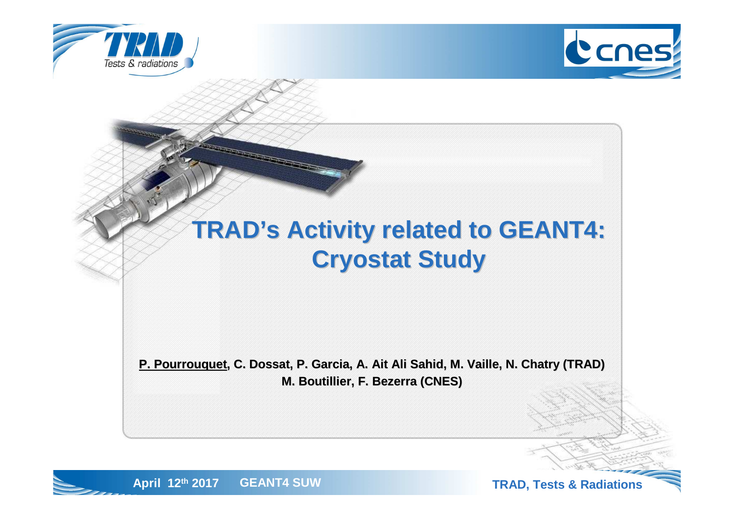





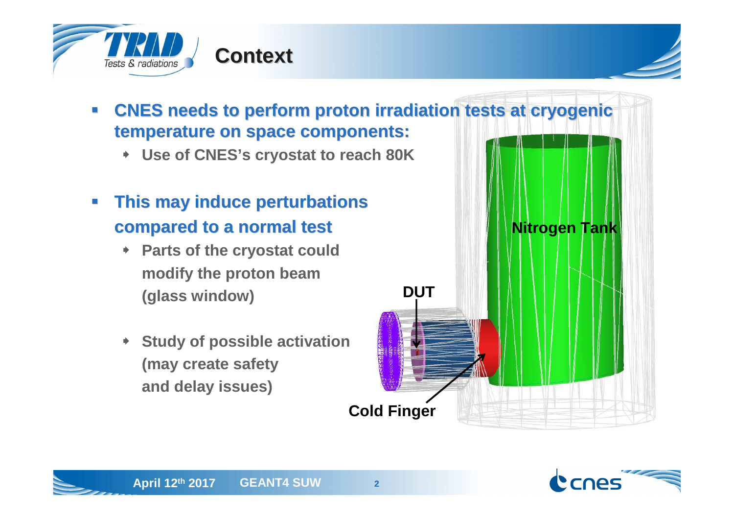

#### $\overline{\phantom{a}}$  **CNES needs to perform proton irradiation tests at cryogenic temperature on space components:**

- **Use of CNES's cryostat to reach 80K**
- $\mathcal{L}_{\mathcal{A}}$  **This may induce perturbations compared to a normal test**
	- **Parts of the cryostat couldmodify the proton beam(glass window)**
	- **Study of possible activation(may create safetyand delay issues)**



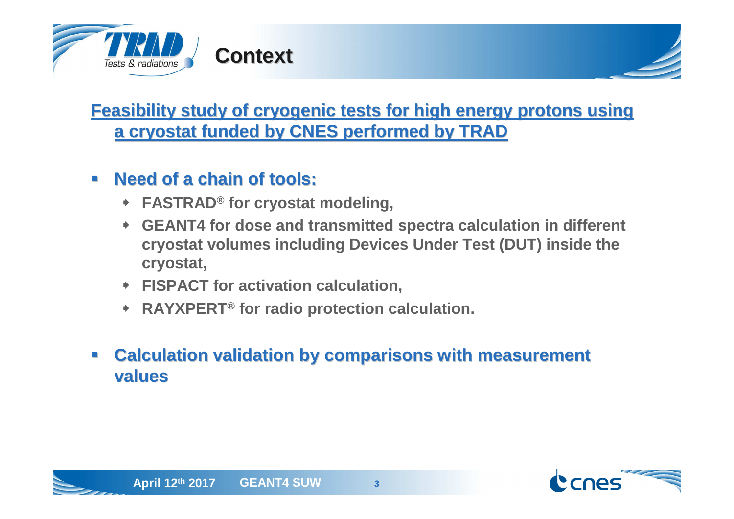

### **Feasibility study of cryogenic tests for high energy protons using a cryostat funded by CNES performed by TRAD**

#### $\mathcal{L}$ **Need of a chain of tools:**

- **FASTRAD® for cryostat modeling,**
- **GEANT4 for dose and transmitted spectra calculation in different cryostat volumes including Devices Under Test (DUT) inside the cryostat,**
- **FISPACT for activation calculation,**
- **RAYXPERT® for radio protection calculation.**

#### $\mathcal{L}_{\mathcal{A}}$  **Calculation validation by comparisons with measurement values**



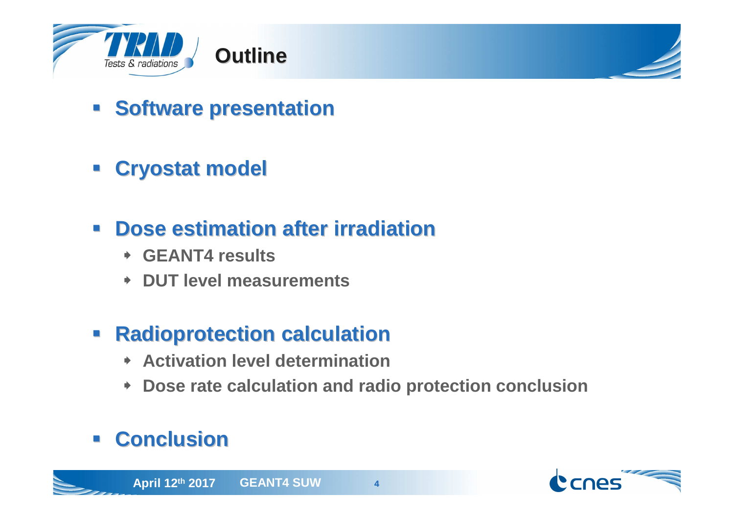

- **Example 3 Software presentation**
- **Cryostat model**
- $\mathcal{L}_{\mathcal{A}}$  **Dose estimation after irradiation**
	- **GEANT4 results**
	- **DUT level measurements**
- $\Box$  **Radioprotection calculation**
	- **Activation level determination**
	- **Dose rate calculation and radio protection conclusion**

#### $\mathcal{L}_{\text{max}}$ **Conclusion**

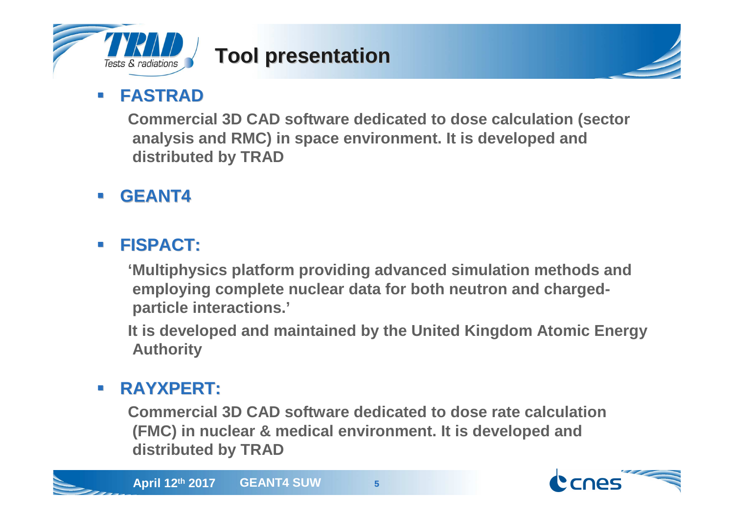

# **Tool presentation**

#### $\mathcal{L}_{\mathcal{A}}$ **FASTRAD**

 **Commercial 3D CAD software dedicated to dose calculation (sectoranalysis and RMC) in space environment. It is developed and distributed by TRAD**

 $\mathcal{L}_{\mathcal{A}}$ **GEANT4**

#### **I FISPACT:**

**'Multiphysics platform providing advanced simulation methods and employing complete nuclear data for both neutron and chargedparticle interactions.'**

**It is developed and maintained by the United Kingdom Atomic Energy Authority** 

#### $\mathcal{L}_{\mathcal{A}}$ **RAYXPERT:**

**Commercial 3D CAD software dedicated to dose rate calculation (FMC) in nuclear & medical environment. It is developed and distributed by TRAD**





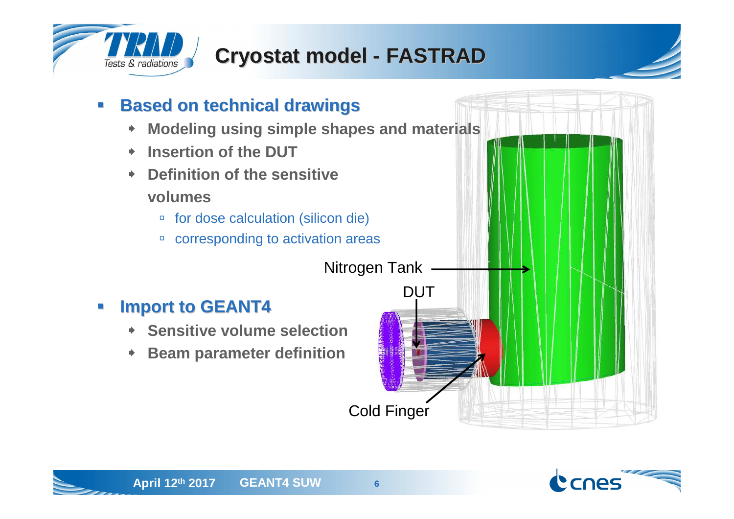

# **Cryostat model - FASTRAD**



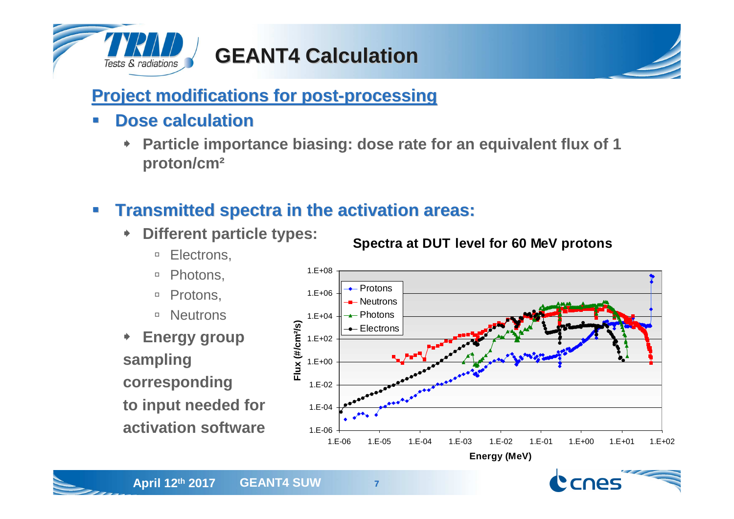

# **GEANT4 Calculation**

### **Project modifications for post-processing**

- $\overline{\phantom{0}}$  **Dose calculation**
	- **Particle importance biasing: dose rate for an equivalent flux of <sup>1</sup> proton/cm²**

#### $\overline{\phantom{a}}$ **Transmitted spectra in the activation areas:**

- **Different particle types:** 
	- $\Box$ Electrons,
	- $\Box$ Photons,
	- □ Protons,
	- □ Neutrons
- **Energy group sampling corresponding to input needed foractivation software**





**Spectra at DUT level for 60 MeV protons**

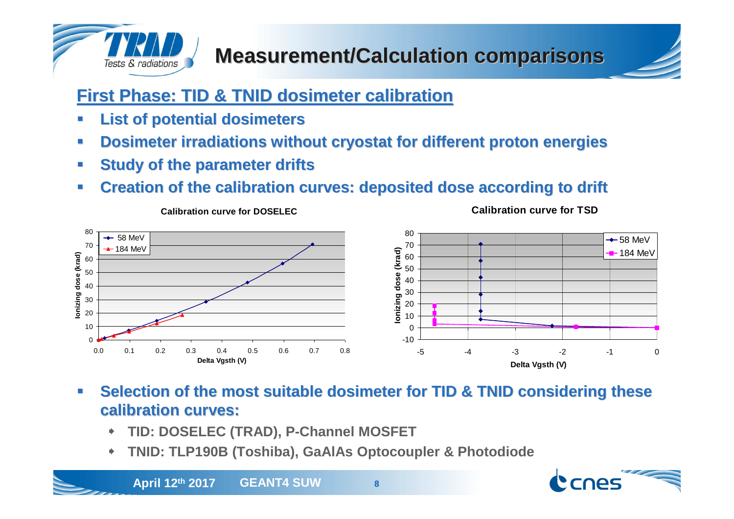

### **First Phase: TID & TNID dosimeter calibration**

- ┛ **List of potential dosimeters**
- **Dosimeter irradiations without cryostat for different proton energies**┛
- ┛ **Study of the parameter drifts**

**Calibration curve for DOSELEC**

 **Creation of the calibration curves: deposited dose according to drift**  $\mathcal{L}_{\mathcal{A}}$ 



- U **Selection of the most suitable dosimeter for TID & TNID considering these calibration curves:**
	- ◆ **TID: DOSELEC (TRAD), P-Channel MOSFET**
	- **TNID: TLP190B (Toshiba), GaAlAs Optocoupler & Photodiode**◆





**Calibration curve for TSD**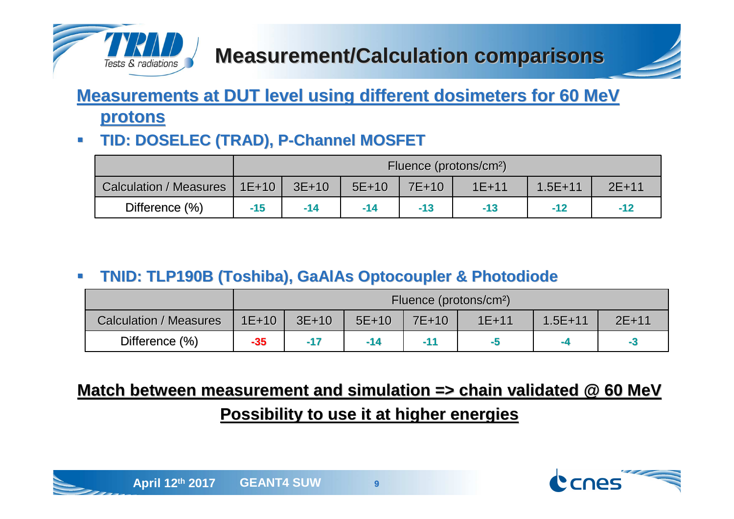

### **Measurements at DUT level using different dosimeters for 60 MeV protons**

#### **TID: DOSELEC (TRAD), P-Channel MOSFET** $\mathcal{L}_{\mathcal{A}}$

|                               | Fluence (protons/cm <sup>2</sup> ) |         |         |       |           |             |           |  |  |
|-------------------------------|------------------------------------|---------|---------|-------|-----------|-------------|-----------|--|--|
| <b>Calculation / Measures</b> | $1E + 10$                          | $3E+10$ | $5E+10$ | 7E+10 | $1E + 11$ | $1.5E + 11$ | $2E + 11$ |  |  |
| Difference (%)                | $-15$                              | $-14$   | $-14$   | $-13$ | -13       | $-12$       | $-12$     |  |  |

#### $\mathcal{L}_{\mathcal{A}}$ **TNID: TLP190B (Toshiba), GaAlAs Optocoupler & Photodiode**

|                               | Fluence (protons/cm <sup>2</sup> ) |         |         |       |           |             |         |  |  |
|-------------------------------|------------------------------------|---------|---------|-------|-----------|-------------|---------|--|--|
| <b>Calculation / Measures</b> | $1E+10$                            | $3E+10$ | $5E+10$ | 7E+10 | $1E + 11$ | $1.5E + 11$ | $2E+11$ |  |  |
| Difference (%)                | $-35$                              | $-17$   | $-14$   |       | -5        | $-4$        | -5      |  |  |

### **Match between measurement and simulation => chain validated @ 60 MeVPossibility to use it at higher energies**



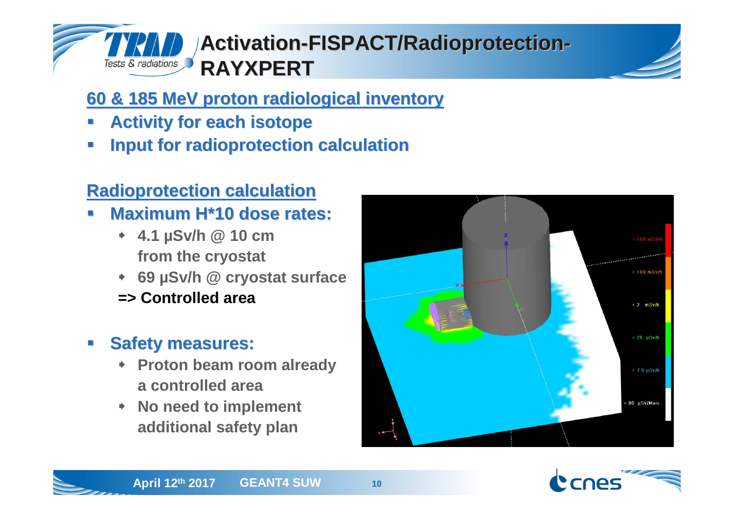

## **Activation-FISPACT/Radioprotection-RAYXPERT**

### **60 & 185 MeV proton radiological inventory**

- u **Activity for each isotope**
- **Input for radioprotection calculation**u

### **Radioprotection calculation**

- **Maximum H\*10 dose rates:** u
	- **4.1 µSv/h @ 10 cm from the cryostat**
	- **69 µSv/h @ cryostat surface**
	- **=> Controlled area**

# **Safety measures:**

- **Proton beam room alreadya controlled area**
- **No need to implement additional safety plan**



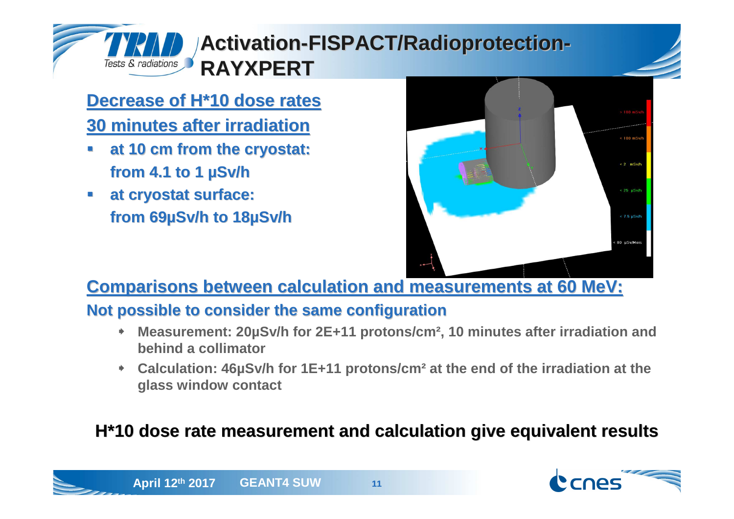# **Activation-FISPACT/Radioprotection-RAYXPERT**

### **Decrease of H\*10 dose rates**

### **30 minutes after irradiation**

Tests & radiations

- **at 10 cm from the cryostat:** u **from 4.1 to 1 µSv/h**
- **at cryostat surface:** u **from 69µSv/h to 18µSv/h**



**Comparisons between calculation and measurements at 60 MeV:**

### **Not possible to consider the same configuration**

- **Measurement: 20µSv/h for 2E+11 protons/cm², 10 minutes after irradiation and**   $\blacklozenge$ **behind a collimator**
- ⋫ **Calculation: 46µSv/h for 1E+11 protons/cm² at the end of the irradiation at the glass window contact**

### **H\*10 dose rate measurement and calculation give equivalent results**



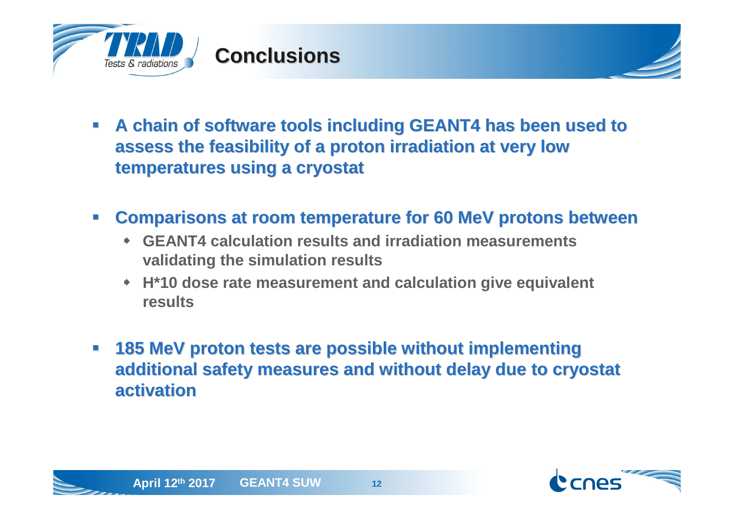

- **A chain of software tools including GEANT4 has been used to assess the feasibility of a proton irradiation at very low temperatures using a cryostat**
- $\mathcal{L}^{\mathcal{A}}$  **Comparisons at room temperature for 60 MeV protons between**
	- **GEANT4 calculation results and irradiation measurementsvalidating the simulation results**
	- **H\*10 dose rate measurement and calculation give equivalent results**
- $\mathcal{L}_{\mathcal{A}}$  **185 MeV proton tests are possible without implementing additional safety measures and without delay due to cryostat activation**